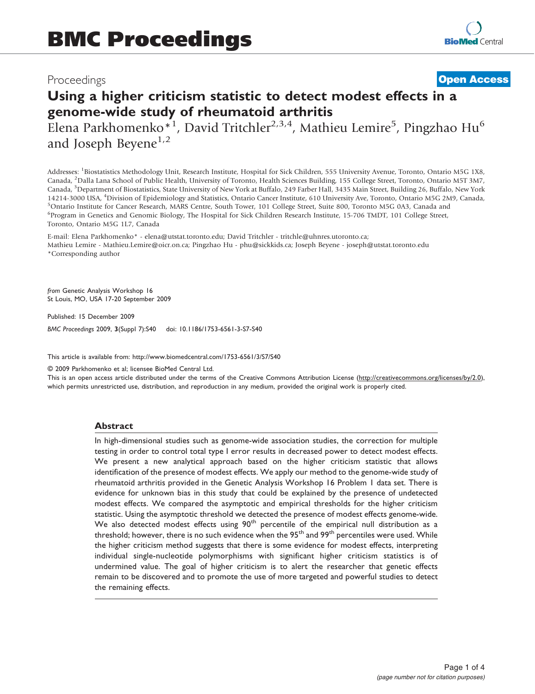# Proceedings

# **[Open Access](http://www.biomedcentral.com/info/about/charter/)**

# Using a higher criticism statistic to detect modest effects in a genome-wide study of rheumatoid arthritis

Elena Parkhomenko<sup>\*1</sup>, David Tritchler<sup>2,3,4</sup>, Mathieu Lemire<sup>5</sup>, Pingzhao Hu<sup>6</sup> and Joseph Beyene<sup>1,2</sup>

Addresses: <sup>1</sup>Biostatistics Methodology Unit, Research Institute, Hospital for Sick Children, 555 University Avenue, Toronto, Ontario M5G 1X8, Canada, <sup>2</sup>Dalla Lana School of Public Health, University of Toronto, Health Sciences Building, 155 College Street, Toronto, Ontario M5T 3M7, Canada, <sup>3</sup>Department of Biostatistics, State University of New York at Buffalo, 249 Farber Hall, 3435 Main Street, Building 26, Buffalo, New York 14214-3000 USA, <sup>4</sup>Division of Epidemiology and Statistics, Ontario Cancer Institute, 610 University Ave, Toronto, Ontario M5G 2M9, Canada,<br><sup>5</sup>Ontario Institute for Cancer Research, MARS Centre, South Tower, 101 College St <sup>5</sup>Ontario Institute for Cancer Research, MARS Centre, South Tower, 101 College Street, Suite 800, Toronto M5G 0A3, Canada and <sup>6</sup>Program in Genetics and Genomic Biology, The Hospital for Sick Children Research Institute, 15-706 TMDT, 101 College Street, Toronto, Ontario M5G 1L7, Canada

E-mail: Elena Parkhomenko\* - [elena@utstat.toronto.edu;](mailto:elena@utstat.toronto.edu) David Tritchler - [tritchle@uhnres.utoronto.ca;](mailto:tritchle@uhnres.utoronto.ca) Mathieu Lemire - [Mathieu.Lemire@oicr.on.ca;](mailto:Mathieu.Lemire@oicr.on.ca) Pingzhao Hu - [phu@sickkids.ca](mailto:phu@sickkids.ca); Joseph Beyene - [joseph@utstat.toronto.edu](mailto:joseph@utstat.toronto.edu) \*Corresponding author

from Genetic Analysis Workshop 16 St Louis, MO, USA 17-20 September 2009

Published: 15 December 2009 BMC Proceedings 2009, 3(Suppl 7):S40 doi: 10.1186/1753-6561-3-S7-S40

This article is available from: http://www.biomedcentral.com/1753-6561/3/S7/S40

© 2009 Parkhomenko et al; licensee BioMed Central Ltd.

This is an open access article distributed under the terms of the Creative Commons Attribution License [\(http://creativecommons.org/licenses/by/2.0\)](http://creativecommons.org/licenses/by/2.0), which permits unrestricted use, distribution, and reproduction in any medium, provided the original work is properly cited.

### Abstract

In high-dimensional studies such as genome-wide association studies, the correction for multiple testing in order to control total type I error results in decreased power to detect modest effects. We present a new analytical approach based on the higher criticism statistic that allows identification of the presence of modest effects. We apply our method to the genome-wide study of rheumatoid arthritis provided in the Genetic Analysis Workshop 16 Problem 1 data set. There is evidence for unknown bias in this study that could be explained by the presence of undetected modest effects. We compared the asymptotic and empirical thresholds for the higher criticism statistic. Using the asymptotic threshold we detected the presence of modest effects genome-wide. We also detected modest effects using  $90<sup>th</sup>$  percentile of the empirical null distribution as a threshold; however, there is no such evidence when the  $95<sup>th</sup>$  and  $99<sup>th</sup>$  percentiles were used. While the higher criticism method suggests that there is some evidence for modest effects, interpreting individual single-nucleotide polymorphisms with significant higher criticism statistics is of undermined value. The goal of higher criticism is to alert the researcher that genetic effects remain to be discovered and to promote the use of more targeted and powerful studies to detect the remaining effects.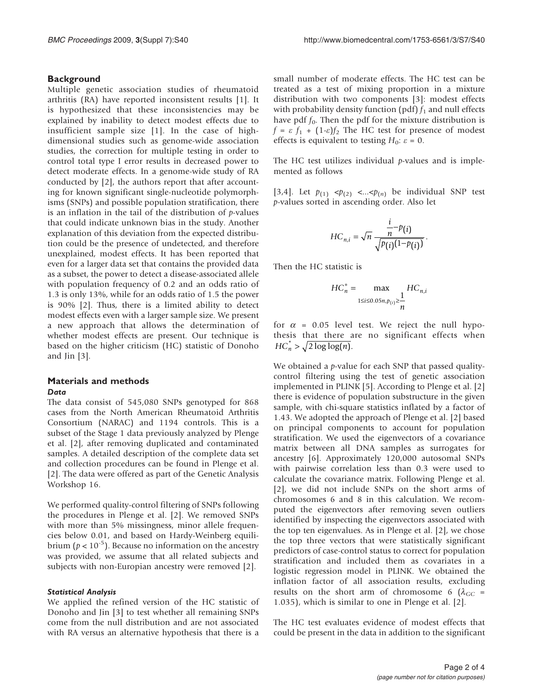## **Background**

Multiple genetic association studies of rheumatoid arthritis (RA) have reported inconsistent results [[1](#page-3-0)]. It is hypothesized that these inconsistencies may be explained by inability to detect modest effects due to insufficient sample size [[1\]](#page-3-0). In the case of highdimensional studies such as genome-wide association studies, the correction for multiple testing in order to control total type I error results in decreased power to detect moderate effects. In a genome-wide study of RA conducted by [\[2\]](#page-3-0), the authors report that after accounting for known significant single-nucleotide polymorphisms (SNPs) and possible population stratification, there is an inflation in the tail of the distribution of  $p$ -values that could indicate unknown bias in the study. Another explanation of this deviation from the expected distribution could be the presence of undetected, and therefore unexplained, modest effects. It has been reported that even for a larger data set that contains the provided data as a subset, the power to detect a disease-associated allele with population frequency of 0.2 and an odds ratio of 1.3 is only 13%, while for an odds ratio of 1.5 the power is 90% [\[2\]](#page-3-0). Thus, there is a limited ability to detect modest effects even with a larger sample size. We present a new approach that allows the determination of whether modest effects are present. Our technique is based on the higher criticism (HC) statistic of Donoho and Jin [[3\]](#page-3-0).

#### Materials and methods Data

The data consist of 545,080 SNPs genotyped for 868 cases from the North American Rheumatoid Arthritis Consortium (NARAC) and 1194 controls. This is a subset of the Stage 1 data previously analyzed by Plenge et al. [[2](#page-3-0)], after removing duplicated and contaminated samples. A detailed description of the complete data set and collection procedures can be found in Plenge et al. [[2](#page-3-0)]. The data were offered as part of the Genetic Analysis Workshop 16.

We performed quality-control filtering of SNPs following the procedures in Plenge et al. [[2\]](#page-3-0). We removed SNPs with more than 5% missingness, minor allele frequencies below 0.01, and based on Hardy-Weinberg equilibrium ( $p < 10^{-5}$ ). Because no information on the ancestry was provided, we assume that all related subjects and subjects with non-Europian ancestry were removed [[2](#page-3-0)].

#### Statistical Analysis

We applied the refined version of the HC statistic of Donoho and Jin [[3](#page-3-0)] to test whether all remaining SNPs come from the null distribution and are not associated with RA versus an alternative hypothesis that there is a

small number of moderate effects. The HC test can be treated as a test of mixing proportion in a mixture distribution with two components [[3](#page-3-0)]: modest effects with probability density function (pdf)  $f_1$  and null effects have pdf  $f_0$ . Then the pdf for the mixture distribution is  $f = \varepsilon f_1 + (1-\varepsilon)f_2$  The HC test for presence of modest effects is equivalent to testing  $H_0$ :  $\varepsilon = 0$ .

The HC test utilizes individual  $p$ -values and is implemented as follows

[[3](#page-3-0),[4](#page-3-0)]. Let  $p_{(1)} \leq p_{(2)} \leq \leq p_{(n)}$  be individual SNP test p-values sorted in ascending order. Also let

$$
HC_{n,i} = \sqrt{n} \frac{\frac{i}{n} - p(i)}{\sqrt{p(i)(1 - p(i))}}.
$$

Then the HC statistic is

$$
HC_n^* = \max_{1 \leq i \leq 0.05n, p_{(i)} \geq \frac{1}{n}} HC_{n,i}
$$

for  $\alpha$  = 0.05 level test. We reject the null hypothesis that there are no significant effects when  $HC_n^* > \sqrt{2 \log \log(n)}.$ 

We obtained a  $p$ -value for each SNP that passed qualitycontrol filtering using the test of genetic association implemented in PLINK [[5](#page-3-0)]. According to Plenge et al. [\[2\]](#page-3-0) there is evidence of population substructure in the given sample, with chi-square statistics inflated by a factor of 1.43. We adopted the approach of Plenge et al. [\[2\]](#page-3-0) based on principal components to account for population stratification. We used the eigenvectors of a covariance matrix between all DNA samples as surrogates for ancestry [\[6\]](#page-3-0). Approximately 120,000 autosomal SNPs with pairwise correlation less than 0.3 were used to calculate the covariance matrix. Following Plenge et al. [[2](#page-3-0)], we did not include SNPs on the short arms of chromosomes 6 and 8 in this calculation. We recomputed the eigenvectors after removing seven outliers identified by inspecting the eigenvectors associated with the top ten eigenvalues. As in Plenge et al. [[2\]](#page-3-0), we chose the top three vectors that were statistically significant predictors of case-control status to correct for population stratification and included them as covariates in a logistic regression model in PLINK. We obtained the inflation factor of all association results, excluding results on the short arm of chromosome 6 ( $\lambda_{GC}$  = 1.035), which is similar to one in Plenge et al. [\[2\]](#page-3-0).

The HC test evaluates evidence of modest effects that could be present in the data in addition to the significant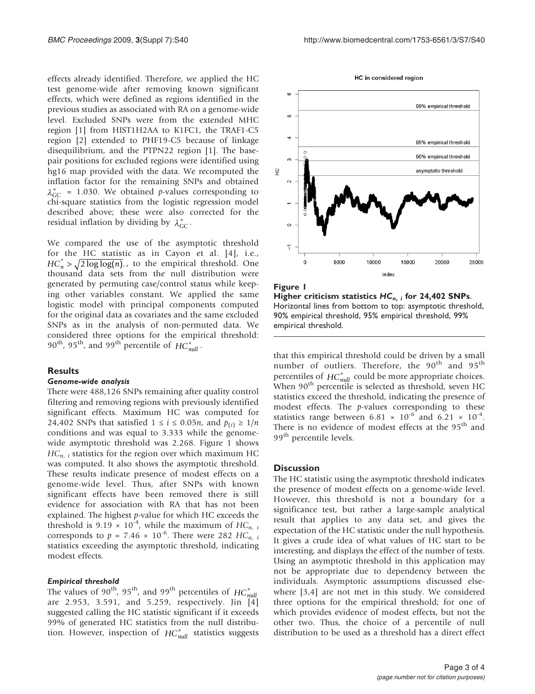<span id="page-2-0"></span>effects already identified. Therefore, we applied the HC test genome-wide after removing known significant effects, which were defined as regions identified in the previous studies as associated with RA on a genome-wide level. Excluded SNPs were from the extended MHC region [\[1\]](#page-3-0) from HIST1H2AA to K1FC1, the TRAF1-C5 region [[2](#page-3-0)] extended to PHF19-C5 because of linkage disequilibrium, and the PTPN22 region [\[1\]](#page-3-0). The basepair positions for excluded regions were identified using hg16 map provided with the data. We recomputed the inflation factor for the remaining SNPs and obtained  $\lambda_{GC}^*$  = 1.030. We obtained *p*-values corresponding to chi-square statistics from the logistic regression model described above; these were also corrected for the residual inflation by dividing by  $\lambda_{GC}^*$ .

We compared the use of the asymptotic threshold for the HC statistic as in Cayon et al. [\[4](#page-3-0)], i.e.,  $HC_n^* > \sqrt{2 \log \log(n)}$ ., to the empirical threshold. One thousand data sets from the null distribution were generated by permuting case/control status while keeping other variables constant. We applied the same logistic model with principal components computed for the original data as covariates and the same excluded SNPs as in the analysis of non-permuted data. We considered three options for the empirical threshold: 90<sup>th</sup>, 95<sup>th</sup>, and 99<sup>th</sup> percentile of  $HC_{null}^*$ .

#### **Results**

#### Genome-wide analysis

There were 488,126 SNPs remaining after quality control filtering and removing regions with previously identified significant effects. Maximum HC was computed for 24,402 SNPs that satisfied  $1 \le i \le 0.05n$ , and  $p_{(i)} \ge 1/n$ conditions and was equal to 3.333 while the genomewide asymptotic threshold was 2.268. Figure 1 shows  $HC_{n,i}$  statistics for the region over which maximum HC was computed. It also shows the asymptotic threshold. These results indicate presence of modest effects on a genome-wide level. Thus, after SNPs with known significant effects have been removed there is still evidence for association with RA that has not been explained. The highest  $p$ -value for which HC exceeds the threshold is 9.19  $\times$  10<sup>-4</sup>, while the maximum of HC<sub>n, i</sub> corresponds to  $p = 7.46 \times 10^{-6}$ . There were 282 HC<sub>n, i</sub> statistics exceeding the asymptotic threshold, indicating modest effects.

#### Empirical threshold

The values of 90<sup>th</sup>, 95<sup>th</sup>, and 99<sup>th</sup> percentiles of  $HC_{null}^*$ are 2.953, 3.591, and 5.259, respectively. Jin [[4\]](#page-3-0) suggested calling the HC statistic significant if it exceeds 99% of generated HC statistics from the null distribution. However, inspection of  $HC_{null}^*$  statistics suggests



Higher criticism statistics  $HC_{n, i}$  for 24,402 SNPs. Horizontal lines from bottom to top: asymptotic threshold, 90% empirical threshold, 95% empirical threshold, 99% empirical threshold.

that this empirical threshold could be driven by a small number of outliers. Therefore, the 90<sup>th</sup> and 95<sup>th</sup> percentiles of  $HC_{null}^*$  could be more appropriate choices. When 90<sup>th</sup> percentile is selected as threshold, seven HC statistics exceed the threshold, indicating the presence of modest effects. The p-values corresponding to these statistics range between  $6.81 \times 10^{-6}$  and  $6.21 \times 10^{-4}$ . There is no evidence of modest effects at the 95<sup>th</sup> and 99<sup>th</sup> percentile levels.

#### **Discussion**

The HC statistic using the asymptotic threshold indicates the presence of modest effects on a genome-wide level. However, this threshold is not a boundary for a significance test, but rather a large-sample analytical result that applies to any data set, and gives the expectation of the HC statistic under the null hypothesis. It gives a crude idea of what values of HC start to be interesting, and displays the effect of the number of tests. Using an asymptotic threshold in this application may not be appropriate due to dependency between the individuals. Asymptotic assumptions discussed elsewhere [[3](#page-3-0),[4](#page-3-0)] are not met in this study. We considered three options for the empirical threshold; for one of which provides evidence of modest effects, but not the other two. Thus, the choice of a percentile of null distribution to be used as a threshold has a direct effect